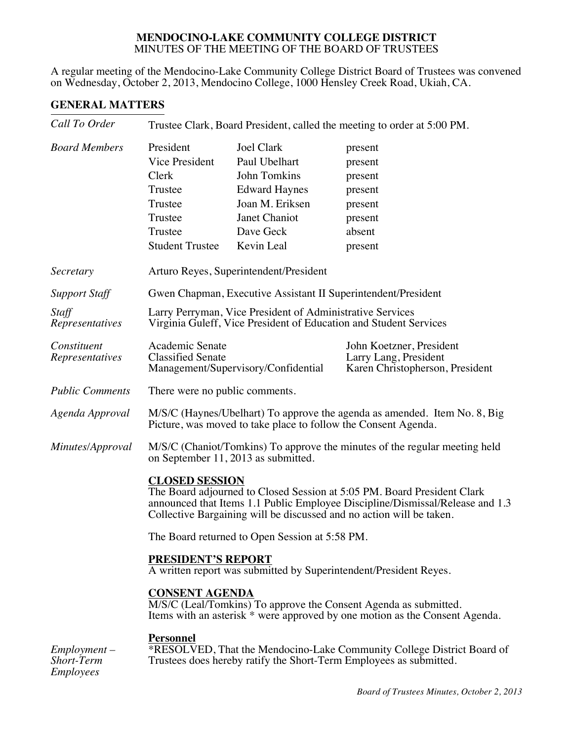## **MENDOCINO-LAKE COMMUNITY COLLEGE DISTRICT**  MINUTES OF THE MEETING OF THE BOARD OF TRUSTEES

A regular meeting of the Mendocino-Lake Community College District Board of Trustees was convened on Wednesday, October 2, 2013, Mendocino College, 1000 Hensley Creek Road, Ukiah, CA.

## **GENERAL MATTERS**

| Call To Order                                           | Trustee Clark, Board President, called the meeting to order at 5:00 PM.                                                                                                                                                                                   |                                                                                                                                           |                                                                                                                                                 |  |
|---------------------------------------------------------|-----------------------------------------------------------------------------------------------------------------------------------------------------------------------------------------------------------------------------------------------------------|-------------------------------------------------------------------------------------------------------------------------------------------|-------------------------------------------------------------------------------------------------------------------------------------------------|--|
| <b>Board Members</b>                                    | President<br>Vice President<br>Clerk<br>Trustee<br>Trustee<br>Trustee<br>Trustee<br><b>Student Trustee</b>                                                                                                                                                | <b>Joel Clark</b><br>Paul Ubelhart<br>John Tomkins<br><b>Edward Haynes</b><br>Joan M. Eriksen<br>Janet Chaniot<br>Dave Geck<br>Kevin Leal | present<br>present<br>present<br>present<br>present<br>present<br>absent<br>present                                                             |  |
| Secretary                                               | Arturo Reyes, Superintendent/President                                                                                                                                                                                                                    |                                                                                                                                           |                                                                                                                                                 |  |
| <b>Support Staff</b>                                    | Gwen Chapman, Executive Assistant II Superintendent/President                                                                                                                                                                                             |                                                                                                                                           |                                                                                                                                                 |  |
| Staff<br>Representatives                                | Larry Perryman, Vice President of Administrative Services<br>Virginia Guleff, Vice President of Education and Student Services                                                                                                                            |                                                                                                                                           |                                                                                                                                                 |  |
| Constituent<br>Representatives                          | Academic Senate<br><b>Classified Senate</b>                                                                                                                                                                                                               | Management/Supervisory/Confidential                                                                                                       | John Koetzner, President<br>Larry Lang, President<br>Karen Christopherson, President                                                            |  |
| <b>Public Comments</b>                                  | There were no public comments.                                                                                                                                                                                                                            |                                                                                                                                           |                                                                                                                                                 |  |
| Agenda Approval                                         | M/S/C (Haynes/Ubelhart) To approve the agenda as amended. Item No. 8, Big<br>Picture, was moved to take place to follow the Consent Agenda.                                                                                                               |                                                                                                                                           |                                                                                                                                                 |  |
| Minutes/Approval                                        | on September 11, 2013 as submitted.                                                                                                                                                                                                                       |                                                                                                                                           | M/S/C (Chaniot/Tomkins) To approve the minutes of the regular meeting held                                                                      |  |
|                                                         | <b>CLOSED SESSION</b><br>The Board adjourned to Closed Session at 5:05 PM. Board President Clark<br>announced that Items 1.1 Public Employee Discipline/Dismissal/Release and 1.3<br>Collective Bargaining will be discussed and no action will be taken. |                                                                                                                                           |                                                                                                                                                 |  |
|                                                         | The Board returned to Open Session at 5:58 PM.                                                                                                                                                                                                            |                                                                                                                                           |                                                                                                                                                 |  |
|                                                         | PRESIDENT'S REPORT<br>A written report was submitted by Superintendent/President Reyes.                                                                                                                                                                   |                                                                                                                                           |                                                                                                                                                 |  |
|                                                         | <b>CONSENT AGENDA</b>                                                                                                                                                                                                                                     |                                                                                                                                           | M/S/C (Leal/Tomkins) To approve the Consent Agenda as submitted.<br>Items with an asterisk * were approved by one motion as the Consent Agenda. |  |
| $Employment -$<br><b>Short-Term</b><br><b>Employees</b> | <b>Personnel</b>                                                                                                                                                                                                                                          |                                                                                                                                           | *RESOLVED, That the Mendocino-Lake Community College District Board of<br>Trustees does hereby ratify the Short-Term Employees as submitted.    |  |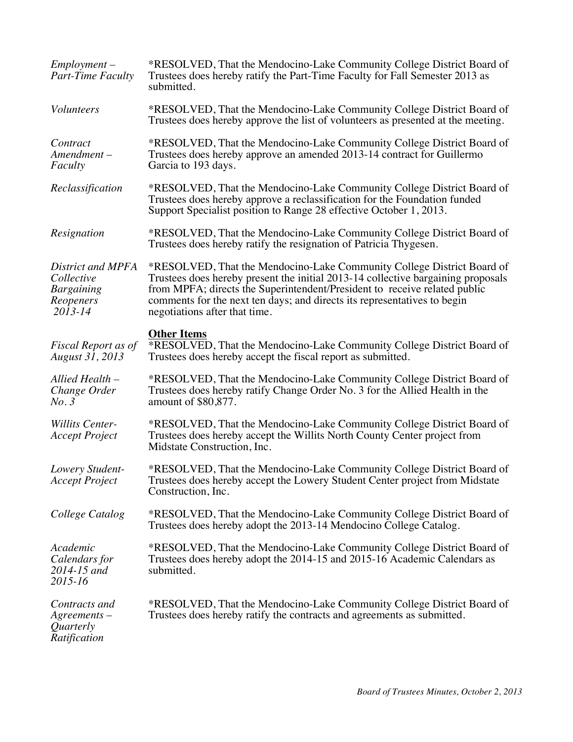| $Employment -$<br>Part-Time Faculty                                          | *RESOLVED, That the Mendocino-Lake Community College District Board of<br>Trustees does hereby ratify the Part-Time Faculty for Fall Semester 2013 as<br>submitted.                                                                                                                                                                                  |
|------------------------------------------------------------------------------|------------------------------------------------------------------------------------------------------------------------------------------------------------------------------------------------------------------------------------------------------------------------------------------------------------------------------------------------------|
| <i>Volunteers</i>                                                            | *RESOLVED, That the Mendocino-Lake Community College District Board of<br>Trustees does hereby approve the list of volunteers as presented at the meeting.                                                                                                                                                                                           |
| Contract<br>$A$ mendment $-$<br>Faculty                                      | *RESOLVED, That the Mendocino-Lake Community College District Board of<br>Trustees does hereby approve an amended 2013-14 contract for Guillermo<br>Garcia to 193 days.                                                                                                                                                                              |
| Reclassification                                                             | *RESOLVED, That the Mendocino-Lake Community College District Board of<br>Trustees does hereby approve a reclassification for the Foundation funded<br>Support Specialist position to Range 28 effective October 1, 2013.                                                                                                                            |
| Resignation                                                                  | *RESOLVED, That the Mendocino-Lake Community College District Board of<br>Trustees does hereby ratify the resignation of Patricia Thygesen.                                                                                                                                                                                                          |
| District and MPFA<br>Collective<br><b>Bargaining</b><br>Reopeners<br>2013-14 | *RESOLVED, That the Mendocino-Lake Community College District Board of<br>Trustees does hereby present the initial 2013-14 collective bargaining proposals<br>from MPFA; directs the Superintendent/President to receive related public<br>comments for the next ten days; and directs its representatives to begin<br>negotiations after that time. |
| Fiscal Report as of<br>August 31, 2013                                       | <b>Other Items</b><br>*RESOLVED, That the Mendocino-Lake Community College District Board of<br>Trustees does hereby accept the fiscal report as submitted.                                                                                                                                                                                          |
| Allied Health -<br>Change Order<br>No.3                                      | *RESOLVED, That the Mendocino-Lake Community College District Board of<br>Trustees does hereby ratify Change Order No. 3 for the Allied Health in the<br>amount of \$80,877.                                                                                                                                                                         |
| <b>Willits Center-</b>                                                       |                                                                                                                                                                                                                                                                                                                                                      |
| <b>Accept Project</b>                                                        | *RESOLVED, That the Mendocino-Lake Community College District Board of<br>Trustees does hereby accept the Willits North County Center project from<br>Midstate Construction, Inc.                                                                                                                                                                    |
| Lowery Student-<br><b>Accept Project</b>                                     | *RESOLVED, That the Mendocino-Lake Community College District Board of<br>Trustees does hereby accept the Lowery Student Center project from Midstate<br>Construction, Inc.                                                                                                                                                                          |
| College Catalog                                                              | *RESOLVED, That the Mendocino-Lake Community College District Board of<br>Trustees does hereby adopt the 2013-14 Mendocino College Catalog.                                                                                                                                                                                                          |
| Academic<br>Calendars for<br>$2014 - 15$ and<br>2015-16                      | *RESOLVED, That the Mendocino-Lake Community College District Board of<br>Trustees does hereby adopt the 2014-15 and 2015-16 Academic Calendars as<br>submitted.                                                                                                                                                                                     |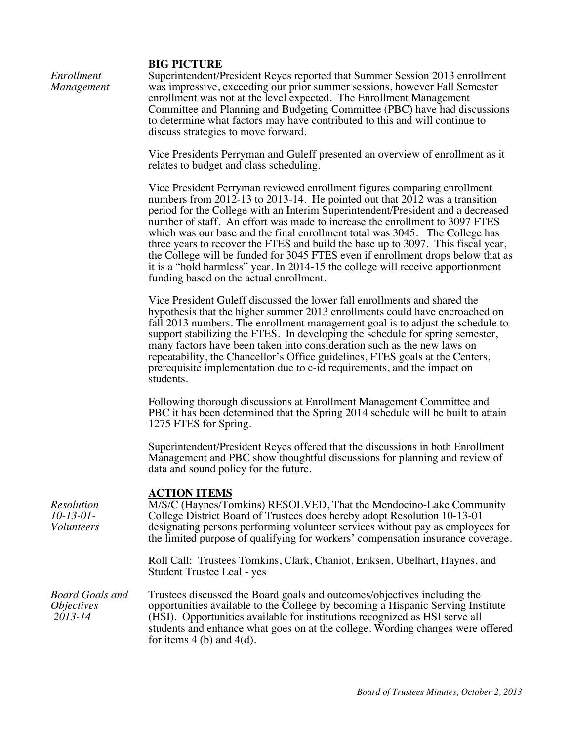## **BIG PICTURE**

| Enrollment |  |
|------------|--|
| Management |  |

Superintendent/President Reyes reported that Summer Session 2013 enrollment was impressive, exceeding our prior summer sessions, however Fall Semester enrollment was not at the level expected. The Enrollment Management Committee and Planning and Budgeting Committee (PBC) have had discussions to determine what factors may have contributed to this and will continue to discuss strategies to move forward.

Vice Presidents Perryman and Guleff presented an overview of enrollment as it relates to budget and class scheduling.

Vice President Perryman reviewed enrollment figures comparing enrollment numbers from 2012-13 to 2013-14. He pointed out that 2012 was a transition period for the College with an Interim Superintendent/President and a decreased number of staff. An effort was made to increase the enrollment to 3097 FTES which was our base and the final enrollment total was 3045. The College has three years to recover the FTES and build the base up to 3097. This fiscal year, the College will be funded for 3045 FTES even if enrollment drops below that as it is a "hold harmless" year. In 2014-15 the college will receive apportionment funding based on the actual enrollment.

Vice President Guleff discussed the lower fall enrollments and shared the hypothesis that the higher summer 2013 enrollments could have encroached on fall 2013 numbers. The enrollment management goal is to adjust the schedule to support stabilizing the FTES. In developing the schedule for spring semester, many factors have been taken into consideration such as the new laws on repeatability, the Chancellor's Office guidelines, FTES goals at the Centers, prerequisite implementation due to c-id requirements, and the impact on students.

Following thorough discussions at Enrollment Management Committee and PBC it has been determined that the Spring 2014 schedule will be built to attain 1275 FTES for Spring.

Superintendent/President Reyes offered that the discussions in both Enrollment Management and PBC show thoughtful discussions for planning and review of data and sound policy for the future.

## **ACTION ITEMS**

| <b>Resolution</b><br>$10-13-01-$<br><i>Volunteers</i>             | M/S/C (Haynes/Tomkins) RESOLVED, That the Mendocino-Lake Community<br>College District Board of Trustees does hereby adopt Resolution 10-13-01<br>designating persons performing volunteer services without pay as employees for<br>the limited purpose of qualifying for workers' compensation insurance coverage.                                            |  |
|-------------------------------------------------------------------|----------------------------------------------------------------------------------------------------------------------------------------------------------------------------------------------------------------------------------------------------------------------------------------------------------------------------------------------------------------|--|
|                                                                   | Roll Call: Trustees Tomkins, Clark, Chaniot, Eriksen, Ubelhart, Haynes, and<br>Student Trustee Leal - yes                                                                                                                                                                                                                                                      |  |
| <b>Board Goals and</b><br><i><b>Objectives</b></i><br>$2013 - 14$ | Trustees discussed the Board goals and outcomes/objectives including the<br>opportunities available to the College by becoming a Hispanic Serving Institute<br>(HSI). Opportunities available for institutions recognized as HSI serve all<br>students and enhance what goes on at the college. Wording changes were offered<br>for items $4$ (b) and $4$ (d). |  |